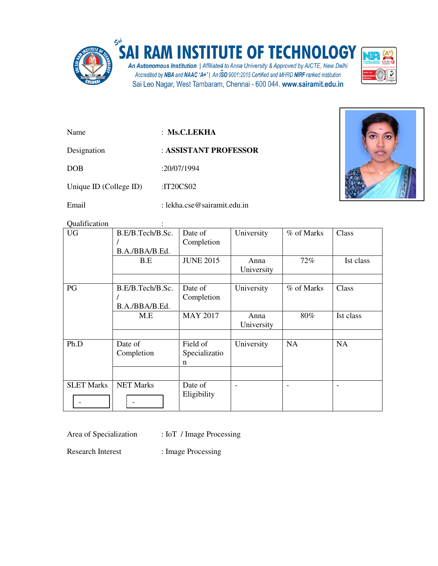

## **RAM INSTITUTE OF TECHNOLOGY**

An Autonomous Institution | Affiliated to Anna University & Approved by AICTE, New Delhi<br>Accredited by NBA and NAAC "A+" | An ISO 9001:2015 Certified and MHRD NIRF ranked institution Sai Leo Nagar, West Tambaram, Chennai - 600 044. www.sairamit.edu.in



Name : **Ms.C.LEKHA** 

Designation : **ASSISTANT PROFESSOR** 

DOB :20/07/1994

Unique ID (College ID) :IT20CS02

Email : lekha.cse@sairamit.edu.in

Qualification :

| <b>UG</b>         | B.E/B.Tech/B.Sc.<br>B.A./BBA/B.Ed. | Date of<br>Completion          | University                   | % of Marks | Class     |
|-------------------|------------------------------------|--------------------------------|------------------------------|------------|-----------|
|                   | B.E                                | <b>JUNE 2015</b>               | Anna<br>University           | 72%        | Ist class |
|                   |                                    |                                |                              |            |           |
| PG                | B.E/B.Tech/B.Sc.<br>B.A./BBA/B.Ed. | Date of<br>Completion          | University                   | % of Marks | Class     |
|                   | M.E                                | <b>MAY 2017</b>                | Anna<br>University           | 80%        | Ist class |
| Ph.D              | Date of<br>Completion              | Field of<br>Specializatio<br>n | University                   | <b>NA</b>  | <b>NA</b> |
| <b>SLET Marks</b> | <b>NET Marks</b>                   | Date of<br>Eligibility         | $\qquad \qquad \blacksquare$ | ۰          |           |

Area of Specialization : IoT / Image Processing

Research Interest : Image Processing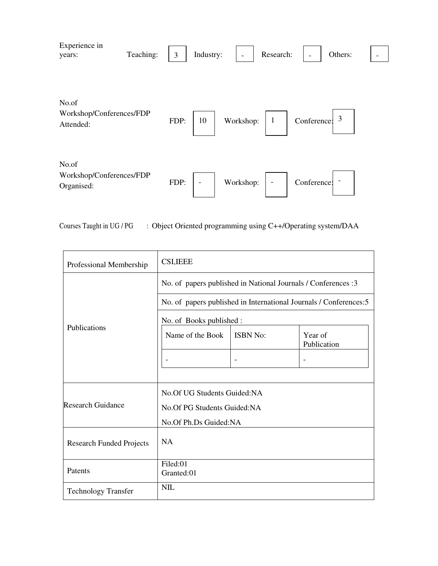| Experience in<br>years:                         | Teaching: | 3    | Industry:                |           | Research:                |             | Others: |  |
|-------------------------------------------------|-----------|------|--------------------------|-----------|--------------------------|-------------|---------|--|
| No.of<br>Workshop/Conferences/FDP<br>Attended:  |           | FDP: | 10                       | Workshop: |                          | Conference: | 3       |  |
| No.of<br>Workshop/Conferences/FDP<br>Organised: |           | FDP: | $\overline{\phantom{a}}$ | Workshop: | $\overline{\phantom{a}}$ | Conference: |         |  |

Courses Taught in UG / PG : Object Oriented programming using C++/Operating system/DAA

| Professional Membership         | <b>CSI, IEEE</b>                                                   |                 |                        |  |  |
|---------------------------------|--------------------------------------------------------------------|-----------------|------------------------|--|--|
|                                 | No. of papers published in National Journals / Conferences :3      |                 |                        |  |  |
|                                 | No. of papers published in International Journals / Conferences: 5 |                 |                        |  |  |
|                                 | No. of Books published :                                           |                 |                        |  |  |
| Publications                    | Name of the Book                                                   | <b>ISBN No:</b> | Year of<br>Publication |  |  |
|                                 |                                                                    |                 |                        |  |  |
|                                 |                                                                    |                 |                        |  |  |
|                                 | No. Of UG Students Guided: NA                                      |                 |                        |  |  |
| <b>Research Guidance</b>        | No. Of PG Students Guided: NA                                      |                 |                        |  |  |
|                                 | No.Of Ph.Ds Guided:NA                                              |                 |                        |  |  |
| <b>Research Funded Projects</b> | <b>NA</b>                                                          |                 |                        |  |  |
| Patents                         | Filed:01<br>Granted:01                                             |                 |                        |  |  |
| <b>Technology Transfer</b>      | NIL                                                                |                 |                        |  |  |